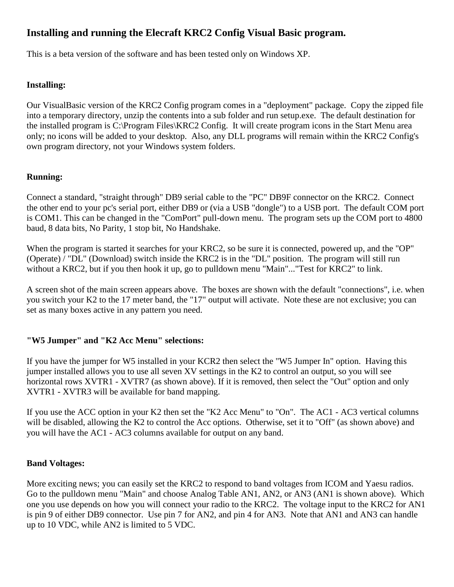# **Installing and running the Elecraft KRC2 Config Visual Basic program.**

This is a beta version of the software and has been tested only on Windows XP.

#### **Installing:**

Our VisualBasic version of the KRC2 Config program comes in a "deployment" package. Copy the zipped file into a temporary directory, unzip the contents into a sub folder and run setup.exe. The default destination for the installed program is C:\Program Files\KRC2 Config. It will create program icons in the Start Menu area only; no icons will be added to your desktop. Also, any DLL programs will remain within the KRC2 Config's own program directory, not your Windows system folders.

## **Running:**

Connect a standard, "straight through" DB9 serial cable to the "PC" DB9F connector on the KRC2. Connect the other end to your pc's serial port, either DB9 or (via a USB "dongle") to a USB port. The default COM port is COM1. This can be changed in the "ComPort" pull-down menu. The program sets up the COM port to 4800 baud, 8 data bits, No Parity, 1 stop bit, No Handshake.

When the program is started it searches for your KRC2, so be sure it is connected, powered up, and the "OP" (Operate) / "DL" (Download) switch inside the KRC2 is in the "DL" position. The program will still run without a KRC2, but if you then hook it up, go to pulldown menu "Main"..."Test for KRC2" to link.

A screen shot of the main screen appears above. The boxes are shown with the default "connections", i.e. when you switch your K2 to the 17 meter band, the "17" output will activate. Note these are not exclusive; you can set as many boxes active in any pattern you need.

#### **"W5 Jumper" and "K2 Acc Menu" selections:**

If you have the jumper for W5 installed in your KCR2 then select the "W5 Jumper In" option. Having this jumper installed allows you to use all seven XV settings in the K2 to control an output, so you will see horizontal rows XVTR1 - XVTR7 (as shown above). If it is removed, then select the "Out" option and only XVTR1 - XVTR3 will be available for band mapping.

If you use the ACC option in your K2 then set the "K2 Acc Menu" to "On". The AC1 - AC3 vertical columns will be disabled, allowing the K2 to control the Acc options. Otherwise, set it to "Off" (as shown above) and you will have the AC1 - AC3 columns available for output on any band.

#### **Band Voltages:**

More exciting news; you can easily set the KRC2 to respond to band voltages from ICOM and Yaesu radios. Go to the pulldown menu "Main" and choose Analog Table AN1, AN2, or AN3 (AN1 is shown above). Which one you use depends on how you will connect your radio to the KRC2. The voltage input to the KRC2 for AN1 is pin 9 of either DB9 connector. Use pin 7 for AN2, and pin 4 for AN3. Note that AN1 and AN3 can handle up to 10 VDC, while AN2 is limited to 5 VDC.